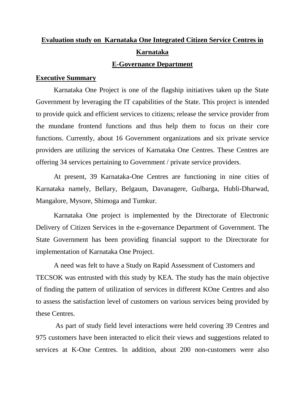# **Evaluation study on Karnataka One Integrated Citizen Service Centres in Karnataka**

## **E-Governance Department**

### **Executive Summary**

Karnataka One Project is one of the flagship initiatives taken up the State Government by leveraging the IT capabilities of the State. This project is intended to provide quick and efficient services to citizens; release the service provider from the mundane frontend functions and thus help them to focus on their core functions. Currently, about 16 Government organizations and six private service providers are utilizing the services of Karnataka One Centres. These Centres are offering 34 services pertaining to Government / private service providers.

At present, 39 Karnataka-One Centres are functioning in nine cities of Karnataka namely, Bellary, Belgaum, Davanagere, Gulbarga, Hubli-Dharwad, Mangalore, Mysore, Shimoga and Tumkur.

Karnataka One project is implemented by the Directorate of Electronic Delivery of Citizen Services in the e-governance Department of Government. The State Government has been providing financial support to the Directorate for implementation of Karnataka One Project.

A need was felt to have a Study on Rapid Assessment of Customers and TECSOK was entrusted with this study by KEA. The study has the main objective of finding the pattern of utilization of services in different KOne Centres and also to assess the satisfaction level of customers on various services being provided by these Centres.

As part of study field level interactions were held covering 39 Centres and 975 customers have been interacted to elicit their views and suggestions related to services at K-One Centres. In addition, about 200 non-customers were also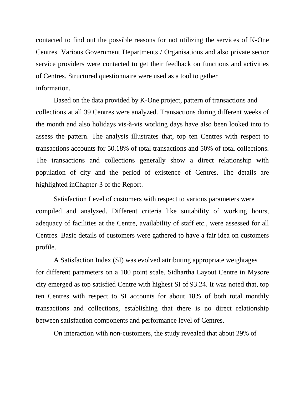contacted to find out the possible reasons for not utilizing the services of K-One Centres. Various Government Departments / Organisations and also private sector service providers were contacted to get their feedback on functions and activities of Centres. Structured questionnaire were used as a tool to gather information.

Based on the data provided by K-One project, pattern of transactions and collections at all 39 Centres were analyzed. Transactions during different weeks of the month and also holidays vis-à-vis working days have also been looked into to assess the pattern. The analysis illustrates that, top ten Centres with respect to transactions accounts for 50.18% of total transactions and 50% of total collections. The transactions and collections generally show a direct relationship with population of city and the period of existence of Centres. The details are highlighted inChapter-3 of the Report.

Satisfaction Level of customers with respect to various parameters were compiled and analyzed. Different criteria like suitability of working hours, adequacy of facilities at the Centre, availability of staff etc., were assessed for all Centres. Basic details of customers were gathered to have a fair idea on customers profile.

A Satisfaction Index (SI) was evolved attributing appropriate weightages for different parameters on a 100 point scale. Sidhartha Layout Centre in Mysore city emerged as top satisfied Centre with highest SI of 93.24. It was noted that, top ten Centres with respect to SI accounts for about 18% of both total monthly transactions and collections, establishing that there is no direct relationship between satisfaction components and performance level of Centres.

On interaction with non-customers, the study revealed that about 29% of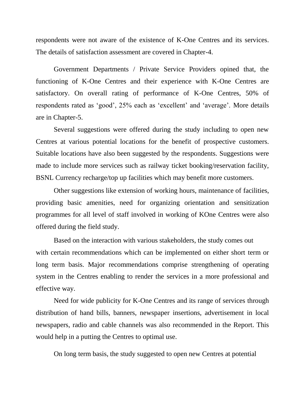respondents were not aware of the existence of K-One Centres and its services. The details of satisfaction assessment are covered in Chapter-4.

Government Departments / Private Service Providers opined that, the functioning of K-One Centres and their experience with K-One Centres are satisfactory. On overall rating of performance of K-One Centres, 50% of respondents rated as 'good', 25% each as 'excellent' and 'average'. More details are in Chapter-5.

Several suggestions were offered during the study including to open new Centres at various potential locations for the benefit of prospective customers. Suitable locations have also been suggested by the respondents. Suggestions were made to include more services such as railway ticket booking/reservation facility, BSNL Currency recharge/top up facilities which may benefit more customers.

Other suggestions like extension of working hours, maintenance of facilities, providing basic amenities, need for organizing orientation and sensitization programmes for all level of staff involved in working of KOne Centres were also offered during the field study.

Based on the interaction with various stakeholders, the study comes out with certain recommendations which can be implemented on either short term or long term basis. Major recommendations comprise strengthening of operating system in the Centres enabling to render the services in a more professional and effective way.

Need for wide publicity for K-One Centres and its range of services through distribution of hand bills, banners, newspaper insertions, advertisement in local newspapers, radio and cable channels was also recommended in the Report. This would help in a putting the Centres to optimal use.

On long term basis, the study suggested to open new Centres at potential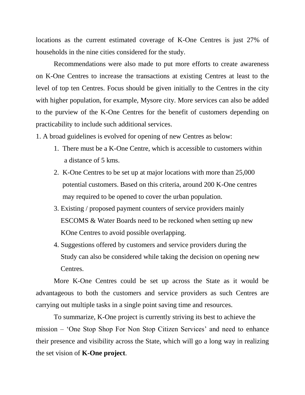locations as the current estimated coverage of K-One Centres is just 27% of households in the nine cities considered for the study.

Recommendations were also made to put more efforts to create awareness on K-One Centres to increase the transactions at existing Centres at least to the level of top ten Centres. Focus should be given initially to the Centres in the city with higher population, for example, Mysore city. More services can also be added to the purview of the K-One Centres for the benefit of customers depending on practicability to include such additional services.

1. A broad guidelines is evolved for opening of new Centres as below:

- 1. There must be a K-One Centre, which is accessible to customers within a distance of 5 kms.
- 2. K-One Centres to be set up at major locations with more than 25,000 potential customers. Based on this criteria, around 200 K-One centres may required to be opened to cover the urban population.
- 3. Existing / proposed payment counters of service providers mainly ESCOMS & Water Boards need to be reckoned when setting up new KOne Centres to avoid possible overlapping.
- 4. Suggestions offered by customers and service providers during the Study can also be considered while taking the decision on opening new Centres.

More K-One Centres could be set up across the State as it would be advantageous to both the customers and service providers as such Centres are carrying out multiple tasks in a single point saving time and resources.

To summarize, K-One project is currently striving its best to achieve the mission – 'One Stop Shop For Non Stop Citizen Services' and need to enhance their presence and visibility across the State, which will go a long way in realizing the set vision of **K-One project**.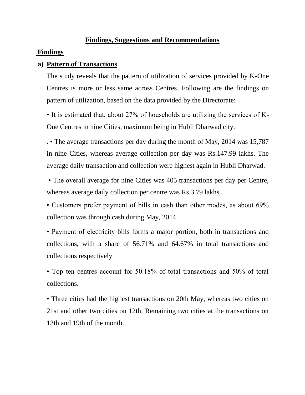## **Findings, Suggestions and Recommendations**

#### **Findings**

## **a) Pattern of Transactions**

The study reveals that the pattern of utilization of services provided by K-One Centres is more or less same across Centres. Following are the findings on pattern of utilization, based on the data provided by the Directorate:

• It is estimated that, about 27% of households are utilizing the services of K-One Centres in nine Cities, maximum being in Hubli Dharwad city.

. • The average transactions per day during the month of May, 2014 was 15,787 in nine Cities, whereas average collection per day was Rs.147.99 lakhs. The average daily transaction and collection were highest again in Hubli Dharwad.

• The overall average for nine Cities was 405 transactions per day per Centre, whereas average daily collection per centre was Rs.3.79 lakhs.

• Customers prefer payment of bills in cash than other modes, as about 69% collection was through cash during May, 2014.

• Payment of electricity bills forms a major portion, both in transactions and collections, with a share of 56.71% and 64.67% in total transactions and collections respectively

• Top ten centres account for 50.18% of total transactions and 50% of total collections.

• Three cities had the highest transactions on 20th May, whereas two cities on 21st and other two cities on 12th. Remaining two cities at the transactions on 13th and 19th of the month.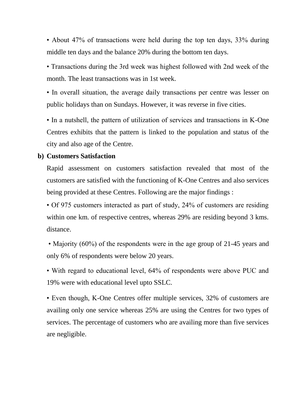• About 47% of transactions were held during the top ten days, 33% during middle ten days and the balance 20% during the bottom ten days.

• Transactions during the 3rd week was highest followed with 2nd week of the month. The least transactions was in 1st week.

• In overall situation, the average daily transactions per centre was lesser on public holidays than on Sundays. However, it was reverse in five cities.

• In a nutshell, the pattern of utilization of services and transactions in K-One Centres exhibits that the pattern is linked to the population and status of the city and also age of the Centre.

## **b) Customers Satisfaction**

Rapid assessment on customers satisfaction revealed that most of the customers are satisfied with the functioning of K-One Centres and also services being provided at these Centres. Following are the major findings :

• Of 975 customers interacted as part of study, 24% of customers are residing within one km. of respective centres, whereas 29% are residing beyond 3 kms. distance.

• Majority (60%) of the respondents were in the age group of 21-45 years and only 6% of respondents were below 20 years.

• With regard to educational level, 64% of respondents were above PUC and 19% were with educational level upto SSLC.

• Even though, K-One Centres offer multiple services, 32% of customers are availing only one service whereas 25% are using the Centres for two types of services. The percentage of customers who are availing more than five services are negligible.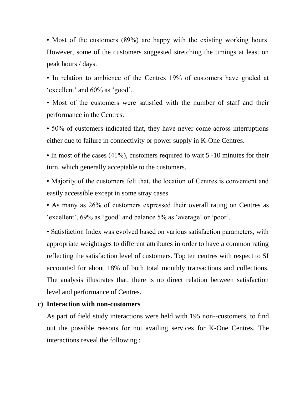• Most of the customers (89%) are happy with the existing working hours. However, some of the customers suggested stretching the timings at least on peak hours / days.

• In relation to ambience of the Centres 19% of customers have graded at 'excellent' and 60% as 'good'.

• Most of the customers were satisfied with the number of staff and their performance in the Centres.

• 50% of customers indicated that, they have never come across interruptions either due to failure in connectivity or power supply in K-One Centres.

• In most of the cases (41%), customers required to wait 5 -10 minutes for their turn, which generally acceptable to the customers.

• Majority of the customers felt that, the location of Centres is convenient and easily accessible except in some stray cases.

• As many as 26% of customers expressed their overall rating on Centres as 'excellent', 69% as 'good' and balance 5% as 'average' or 'poor'.

• Satisfaction Index was evolved based on various satisfaction parameters, with appropriate weightages to different attributes in order to have a common rating reflecting the satisfaction level of customers. Top ten centres with respect to SI accounted for about 18% of both total monthly transactions and collections. The analysis illustrates that, there is no direct relation between satisfaction level and performance of Centres.

#### **c) Interaction with non-customers**

As part of field study interactions were held with 195 non--customers, to find out the possible reasons for not availing services for K-One Centres. The interactions reveal the following :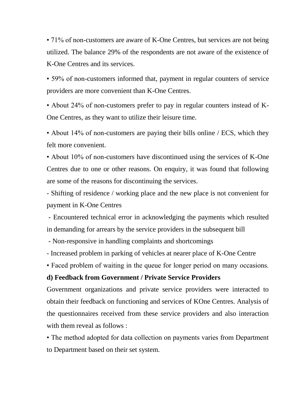• 71% of non-customers are aware of K-One Centres, but services are not being utilized. The balance 29% of the respondents are not aware of the existence of K-One Centres and its services.

• 59% of non-customers informed that, payment in regular counters of service providers are more convenient than K-One Centres.

• About 24% of non-customers prefer to pay in regular counters instead of K-One Centres, as they want to utilize their leisure time.

• About 14% of non-customers are paying their bills online / ECS, which they felt more convenient.

• About 10% of non-customers have discontinued using the services of K-One Centres due to one or other reasons. On enquiry, it was found that following are some of the reasons for discontinuing the services.

- Shifting of residence / working place and the new place is not convenient for payment in K-One Centres

- Encountered technical error in acknowledging the payments which resulted in demanding for arrears by the service providers in the subsequent bill

- Non-responsive in handling complaints and shortcomings

- Increased problem in parking of vehicles at nearer place of K-One Centre

• Faced problem of waiting in the queue for longer period on many occasions.

# **d) Feedback from Government / Private Service Providers**

Government organizations and private service providers were interacted to obtain their feedback on functioning and services of KOne Centres. Analysis of the questionnaires received from these service providers and also interaction with them reveal as follows :

• The method adopted for data collection on payments varies from Department to Department based on their set system.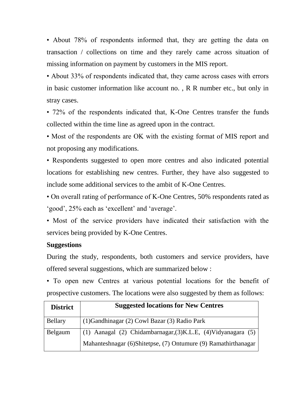• About 78% of respondents informed that, they are getting the data on transaction / collections on time and they rarely came across situation of missing information on payment by customers in the MIS report.

• About 33% of respondents indicated that, they came across cases with errors in basic customer information like account no. , R R number etc., but only in stray cases.

• 72% of the respondents indicated that, K-One Centres transfer the funds collected within the time line as agreed upon in the contract.

• Most of the respondents are OK with the existing format of MIS report and not proposing any modifications.

• Respondents suggested to open more centres and also indicated potential locations for establishing new centres. Further, they have also suggested to include some additional services to the ambit of K-One Centres.

• On overall rating of performance of K-One Centres, 50% respondents rated as 'good', 25% each as 'excellent' and 'average'.

• Most of the service providers have indicated their satisfaction with the services being provided by K-One Centres.

# **Suggestions**

During the study, respondents, both customers and service providers, have offered several suggestions, which are summarized below :

• To open new Centres at various potential locations for the benefit of prospective customers. The locations were also suggested by them as follows:

| <b>District</b> | <b>Suggested locations for New Centres</b>                     |
|-----------------|----------------------------------------------------------------|
| Bellary         | (1) Gandhinagar (2) Cowl Bazar (3) Radio Park                  |
| Belgaum         | (1) Aanagal (2) Chidambarnagar, (3) K.L.E, (4) Vidyanagara (5) |
|                 | Mahanteshnagar (6)Shitetpse, (7) Ontumure (9) Ramathirthanagar |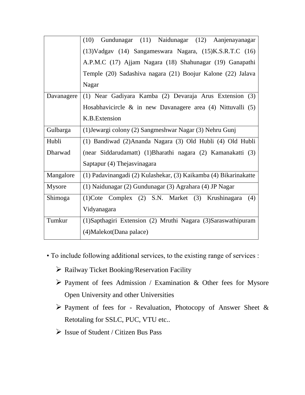|               | Gundunagar (11) Naidunagar (12) Aanjenayanagar<br>(10)           |
|---------------|------------------------------------------------------------------|
|               | (13) Vadgav (14) Sangameswara Nagara, (15) K.S.R.T.C (16)        |
|               | A.P.M.C (17) Ajjam Nagara (18) Shahunagar (19) Ganapathi         |
|               | Temple (20) Sadashiva nagara (21) Boojur Kalone (22) Jalava      |
|               | Nagar                                                            |
| Davanagere    | (1) Near Gadiyara Kamba (2) Devaraja Arus Extension (3)          |
|               | Hosabhavicircle & in new Davanagere area (4) Nittuvalli (5)      |
|               | K.B. Extension                                                   |
| Gulbarga      | (1) Jewargi colony (2) Sangmeshwar Nagar (3) Nehru Gunj          |
| Hubli         | (1) Bandiwad (2)Ananda Nagara (3) Old Hubli (4) Old Hubli        |
| Dharwad       | (near Siddarudamatt) (1)Bharathi nagara (2) Kamanakatti (3)      |
|               | Saptapur (4) Thejasvinagara                                      |
| Mangalore     | (1) Padavinangadi (2) Kulashekar, (3) Kaikamba (4) Bikarinakatte |
| <b>Mysore</b> | (1) Naidunagar (2) Gundunagar (3) Agrahara (4) JP Nagar          |
| Shimoga       | (1) Cote Complex (2) S.N. Market (3) Krushinagara<br>(4)         |
|               | Vidyanagara                                                      |
| Tumkur        | (1) Sapthagiri Extension (2) Mruthi Nagara (3) Saraswathipuram   |
|               | (4) Malekot (Dana palace)                                        |

- To include following additional services, to the existing range of services :
	- $\triangleright$  Railway Ticket Booking/Reservation Facility
	- $\triangleright$  Payment of fees Admission / Examination & Other fees for Mysore Open University and other Universities
	- $\triangleright$  Payment of fees for Revaluation, Photocopy of Answer Sheet & Retotaling for SSLC, PUC, VTU etc..
	- $\triangleright$  Issue of Student / Citizen Bus Pass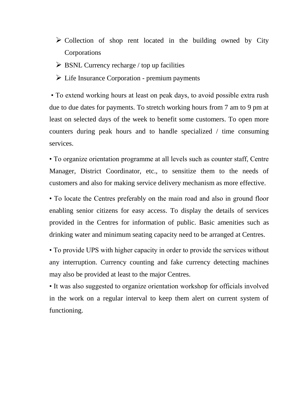- $\triangleright$  Collection of shop rent located in the building owned by City Corporations
- $\triangleright$  BSNL Currency recharge / top up facilities
- $\triangleright$  Life Insurance Corporation premium payments

• To extend working hours at least on peak days, to avoid possible extra rush due to due dates for payments. To stretch working hours from 7 am to 9 pm at least on selected days of the week to benefit some customers. To open more counters during peak hours and to handle specialized / time consuming services.

• To organize orientation programme at all levels such as counter staff, Centre Manager, District Coordinator, etc., to sensitize them to the needs of customers and also for making service delivery mechanism as more effective.

• To locate the Centres preferably on the main road and also in ground floor enabling senior citizens for easy access. To display the details of services provided in the Centres for information of public. Basic amenities such as drinking water and minimum seating capacity need to be arranged at Centres.

• To provide UPS with higher capacity in order to provide the services without any interruption. Currency counting and fake currency detecting machines may also be provided at least to the major Centres.

• It was also suggested to organize orientation workshop for officials involved in the work on a regular interval to keep them alert on current system of functioning.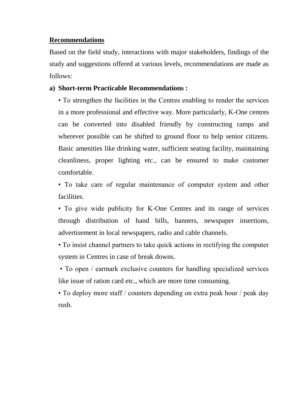## **Recommendations**

Based on the field study, interactions with major stakeholders, findings of the study and suggestions offered at various levels, recommendations are made as follows:

# **a) Short-term Practicable Recommendations :**

• To strengthen the facilities in the Centres enabling to render the services in a more professional and effective way. More particularly, K-One centres can be converted into disabled friendly by constructing ramps and wherever possible can be shifted to ground floor to help senior citizens. Basic amenities like drinking water, sufficient seating facility, maintaining cleanliness, proper lighting etc., can be ensured to make customer comfortable.

• To take care of regular maintenance of computer system and other facilities.

• To give wide publicity for K-One Centres and its range of services through distribution of hand bills, banners, newspaper insertions, advertisement in local newspapers, radio and cable channels.

• To insist channel partners to take quick actions in rectifying the computer system in Centres in case of break downs.

• To open / earmark exclusive counters for handling specialized services like issue of ration card etc., which are more time consuming.

• To deploy more staff / counters depending on extra peak hour / peak day rush.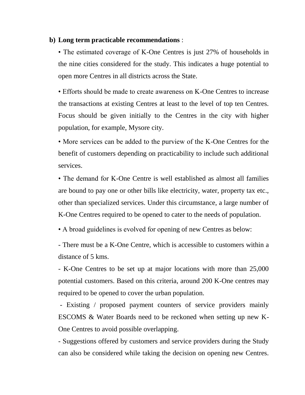#### **b) Long term practicable recommendations** :

• The estimated coverage of K-One Centres is just 27% of households in the nine cities considered for the study. This indicates a huge potential to open more Centres in all districts across the State.

• Efforts should be made to create awareness on K-One Centres to increase the transactions at existing Centres at least to the level of top ten Centres. Focus should be given initially to the Centres in the city with higher population, for example, Mysore city.

• More services can be added to the purview of the K-One Centres for the benefit of customers depending on practicability to include such additional services.

• The demand for K-One Centre is well established as almost all families are bound to pay one or other bills like electricity, water, property tax etc., other than specialized services. Under this circumstance, a large number of K-One Centres required to be opened to cater to the needs of population.

• A broad guidelines is evolved for opening of new Centres as below:

- There must be a K-One Centre, which is accessible to customers within a distance of 5 kms.

- K-One Centres to be set up at major locations with more than 25,000 potential customers. Based on this criteria, around 200 K-One centres may required to be opened to cover the urban population.

- Existing / proposed payment counters of service providers mainly ESCOMS & Water Boards need to be reckoned when setting up new K-One Centres to avoid possible overlapping.

- Suggestions offered by customers and service providers during the Study can also be considered while taking the decision on opening new Centres.